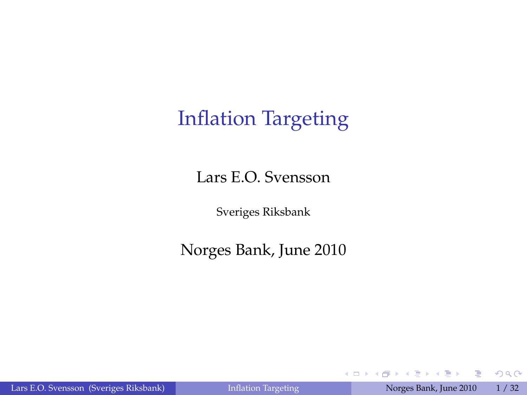## Inflation Targeting

Lars E.O. Svensson

Sveriges Riksbank

Norges Bank, June 2010

G.

④重き ④重き

4.0.3.4

有

<span id="page-0-0"></span> $299$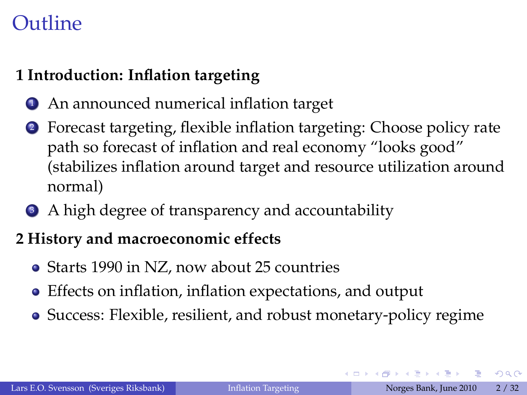### Outline

#### **1 Introduction: Inflation targeting**

- <sup>1</sup> An announced numerical inflation target
- <sup>2</sup> Forecast targeting, flexible inflation targeting: Choose policy rate path so forecast of inflation and real economy "looks good" (stabilizes inflation around target and resource utilization around normal)
- <sup>3</sup> A high degree of transparency and accountability

#### **2 History and macroeconomic effects**

- Starts 1990 in NZ, now about 25 countries
- Effects on inflation, inflation expectations, and output
- Success: Flexible, resilient, and robust monetary-policy regime

 $QQQ$ 

イロトス 御下ス ヨトス ヨトッ ヨ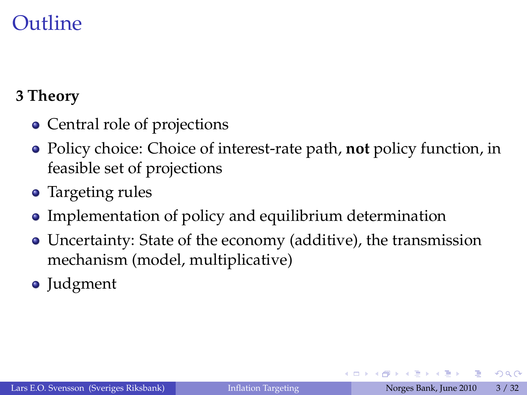### Outline

#### **3 Theory**

- Central role of projections
- Policy choice: Choice of interest-rate path, **not** policy function, in feasible set of projections
- Targeting rules
- Implementation of policy and equilibrium determination
- Uncertainty: State of the economy (additive), the transmission mechanism (model, multiplicative)
- Judgment

不重 的不重的

 $299$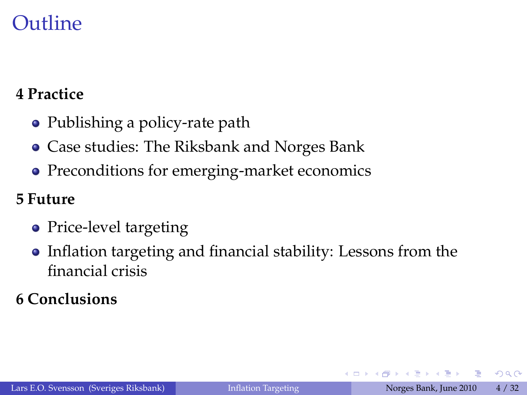### Outline

#### **4 Practice**

- Publishing a policy-rate path
- Case studies: The Riksbank and Norges Bank
- Preconditions for emerging-market economics

#### **5 Future**

- Price-level targeting
- Inflation targeting and financial stability: Lessons from the financial crisis

#### **6 Conclusions**

G.

 $QQQ$ 

不重 医不重 的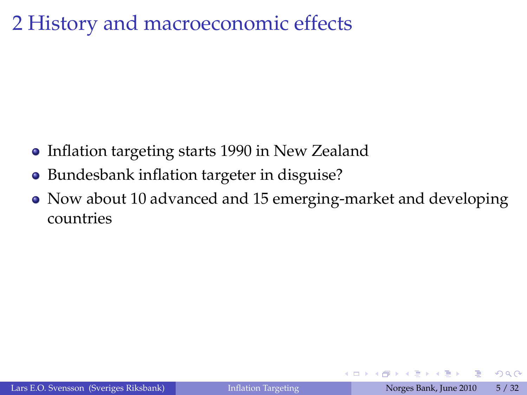## 2 History and macroeconomic effects

- Inflation targeting starts 1990 in New Zealand
- Bundesbank inflation targeter in disguise?
- Now about 10 advanced and 15 emerging-market and developing countries

 $290$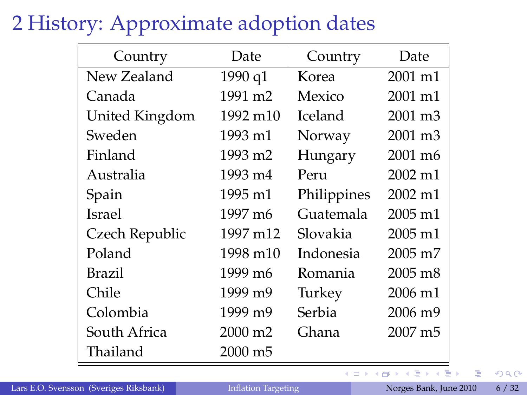## 2 History: Approximate adoption dates

| Country        | Date                | Country     | Date                |
|----------------|---------------------|-------------|---------------------|
| New Zealand    | 1990 q1             | Korea       | 2001 m1             |
| Canada         | 1991 m <sub>2</sub> | Mexico      | $2001 \text{ m}$ 1  |
| United Kingdom | 1992 m10            | Iceland     | 2001 m3             |
| Sweden         | 1993 m1             | Norway      | 2001 m <sub>3</sub> |
| Finland        | 1993 m2             | Hungary     | 2001 m <sub>6</sub> |
| Australia      | 1993 m4             | Peru        | 2002 m1             |
| Spain          | 1995 m1             | Philippines | $2002 \text{ m}$ 1  |
| <b>Israel</b>  | 1997 m6             | Guatemala   | $2005 \text{ m}$ 1  |
| Czech Republic | 1997 m12            | Slovakia    | 2005 m1             |
| Poland         | 1998 m10            | Indonesia   | $2005 \text{ m}$    |
| Brazil         | 1999 m <sub>6</sub> | Romania     | $2005 \text{ m}8$   |
| Chile          | 1999 m9             | Turkey      | 2006 m1             |
| Colombia       | 1999 m9             | Serbia      | 2006 m <sub>9</sub> |
| South Africa   | 2000 m <sub>2</sub> | Ghana       | 2007 m <sub>5</sub> |
| Thailand       | 2000 m5             |             |                     |

 $\bar{z}$ 

 $299$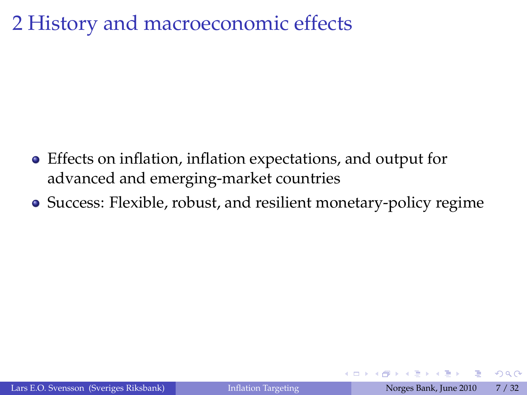### 2 History and macroeconomic effects

- Effects on inflation, inflation expectations, and output for advanced and emerging-market countries
- Success: Flexible, robust, and resilient monetary-policy regime

 $\Omega$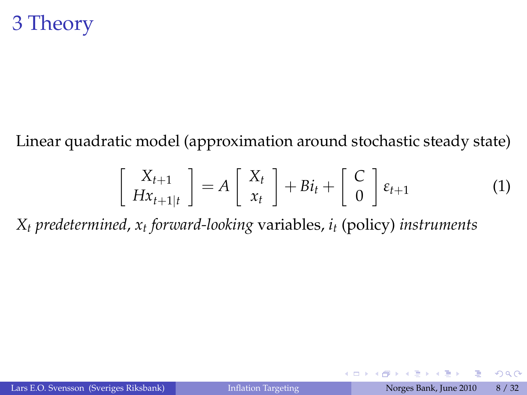Linear quadratic model (approximation around stochastic steady state)

$$
\left[\begin{array}{c} X_{t+1} \\ Hx_{t+1|t} \end{array}\right] = A \left[\begin{array}{c} X_t \\ x_t \end{array}\right] + Bi_t + \left[\begin{array}{c} C \\ 0 \end{array}\right] \varepsilon_{t+1} \tag{1}
$$

<span id="page-7-0"></span>4 □ ) 4 m

*X<sup>t</sup> predetermined*, *x<sup>t</sup> forward-looking* variables, *i<sup>t</sup>* (policy) *instruments*

 $\Omega$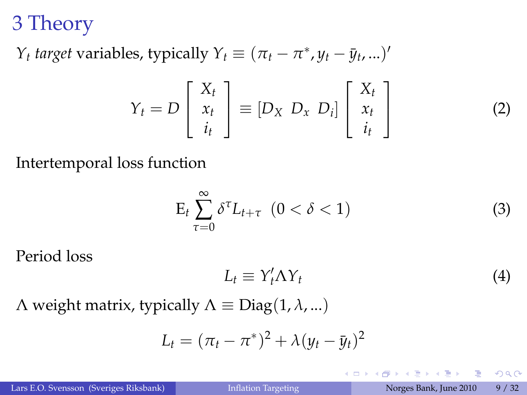*Y*<sub>t</sub> *target* variables, typically  $Y_t \equiv (\pi_t - \pi^*, y_t - \bar{y}_t, ...)$ 

$$
Y_t = D\left[\begin{array}{c} X_t \\ x_t \\ i_t \end{array}\right] \equiv \left[D_X \ D_x \ D_i\right] \left[\begin{array}{c} X_t \\ x_t \\ i_t \end{array}\right] \tag{2}
$$

Intertemporal loss function

$$
E_t \sum_{\tau=0}^{\infty} \delta^{\tau} L_{t+\tau} \quad (0 < \delta < 1)
$$
 (3)

Period loss

$$
L_t \equiv Y_t' \Lambda Y_t \tag{4}
$$

 $\leftarrow$   $\Box$   $\rightarrow$   $\leftarrow$   $\Box$ 

 $Λ$  weight matrix, typically  $Λ ≡$  Diag(1,  $λ$ , ...)

$$
L_t = (\pi_t - \pi^*)^2 + \lambda (y_t - \bar{y}_t)^2
$$

一番

<span id="page-8-0"></span> $QQQ$ 

不重 医不重 的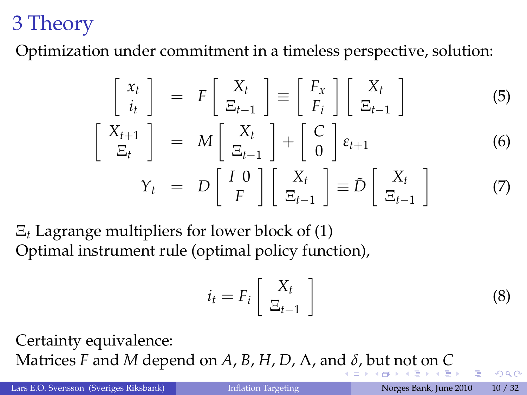Optimization under commitment in a timeless perspective, solution:

$$
\begin{bmatrix} x_t \\ i_t \end{bmatrix} = F \begin{bmatrix} X_t \\ \Xi_{t-1} \end{bmatrix} = \begin{bmatrix} F_x \\ F_i \end{bmatrix} \begin{bmatrix} X_t \\ \Xi_{t-1} \end{bmatrix}
$$
(5)  

$$
\begin{bmatrix} X_{t+1} \\ \Xi_t \end{bmatrix} = M \begin{bmatrix} X_t \\ \Xi_{t-1} \end{bmatrix} + \begin{bmatrix} C \\ 0 \end{bmatrix} \varepsilon_{t+1}
$$
(6)  

$$
Y_t = D \begin{bmatrix} I & 0 \\ F \end{bmatrix} \begin{bmatrix} X_t \\ \Xi_{t-1} \end{bmatrix} \equiv \tilde{D} \begin{bmatrix} X_t \\ \Xi_{t-1} \end{bmatrix}
$$
(7)

Ξ*<sup>t</sup>* Lagrange multipliers for lower block of [\(1\)](#page-7-0) Optimal instrument rule (optimal policy function),

$$
i_t = F_i \left[ \begin{array}{c} X_t \\ \Xi_{t-1} \end{array} \right] \tag{8}
$$

Certainty equivalence: Matrices *F* an[d](#page-8-0) *M* depend [o](#page-31-0)[n](#page-0-0) *A*, *B*, *H*, *D*,  $\Lambda$ , and  $\delta$ [, b](#page-10-0)[ut](#page-9-0) [n](#page-10-0)[ot](#page-0-0) on *[C](#page-31-0)* 

<span id="page-9-0"></span> $\Omega$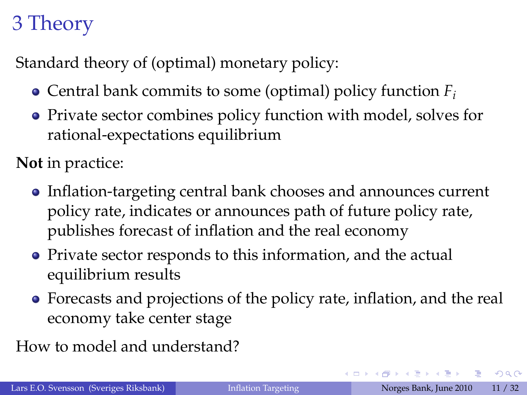Standard theory of (optimal) monetary policy:

- Central bank commits to some (optimal) policy function *F<sup>i</sup>*
- Private sector combines policy function with model, solves for rational-expectations equilibrium

**Not** in practice:

- Inflation-targeting central bank chooses and announces current policy rate, indicates or announces path of future policy rate, publishes forecast of inflation and the real economy
- Private sector responds to this information, and the actual equilibrium results
- Forecasts and projections of the policy rate, inflation, and the real economy take center stage

How to model and understand?

<span id="page-10-0"></span> $\Omega$ 

イロト イ御 トイヨ トイヨ トーヨ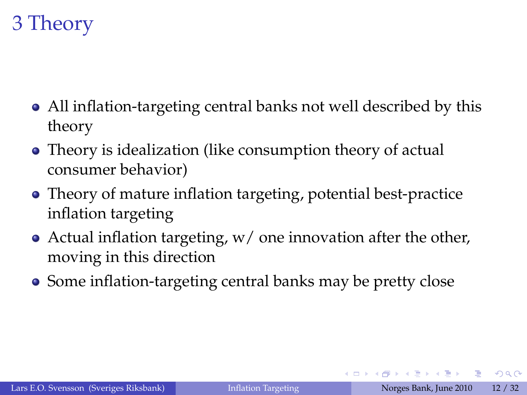- All inflation-targeting central banks not well described by this theory
- Theory is idealization (like consumption theory of actual consumer behavior)
- Theory of mature inflation targeting, potential best-practice inflation targeting
- Actual inflation targeting,  $w/$  one innovation after the other, moving in this direction
- Some inflation-targeting central banks may be pretty close

 $QQQ$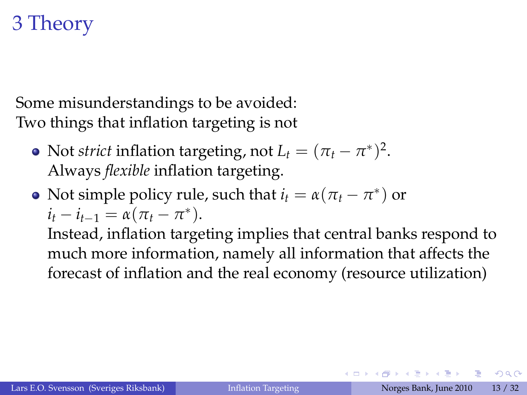Some misunderstandings to be avoided: Two things that inflation targeting is not

- Not *strict* inflation targeting, not  $L_t = (\pi_t \pi^*)^2$ . Always *flexible* inflation targeting.
- Not simple policy rule, such that  $i_t = \alpha(\pi_t \pi^*)$  or  $i_t - i_{t-1} = \alpha(\pi_t - \pi^*).$

Instead, inflation targeting implies that central banks respond to much more information, namely all information that affects the forecast of inflation and the real economy (resource utilization)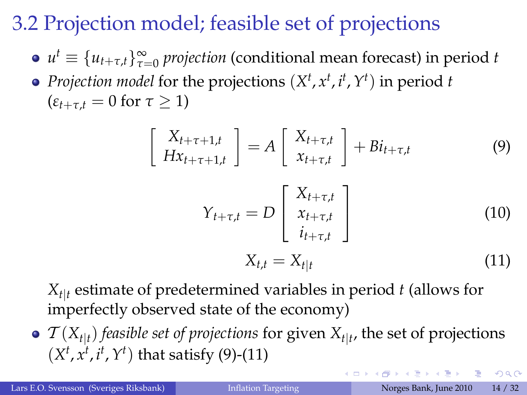# 3.2 Projection model; feasible set of projections

 $\sqrt{ }$ 

- $u^t \equiv \{u_{t+\tau,t}\}_{\tau=0}^\infty$  *projection* (conditional mean forecast) in period *t*
- *Projection model* for the projections (*X t* , *x t* , *i t* ,*Y t* ) in period *t*  $(\varepsilon_{t+\tau,t} = 0 \text{ for } \tau \geq 1)$

$$
\begin{aligned}\nX_{t+\tau+1,t} \\
Hx_{t+\tau+1,t} \\
Y_{t+\tau,t} &= D \begin{bmatrix} X_{t+\tau,t} \\ x_{t+\tau,t} \end{bmatrix} + Bi_{t+\tau,t} \tag{9} \\
Y_{t+\tau,t} &= D \begin{bmatrix} X_{t+\tau,t} \\ x_{t+\tau,t} \\ i_{t+\tau,t} \end{bmatrix} \tag{10} \\
X_{t,t} &= X_{t|t} \tag{11}\n\end{aligned}
$$

*Xt*j*<sup>t</sup>* estimate of predetermined variables in period *t* (allows for imperfectly observed state of the economy)

 $\mathcal{T}(X_{t|t})$  *feasible set of projections* for given  $X_{t|t}$ , the set of projections  $(X^t, x^t, i^t, Y^t)$  that satisfy [\(9\)](#page-13-0)-[\(11\)](#page-13-1)

 $QQQ$ 

<span id="page-13-1"></span><span id="page-13-0"></span>イロトス 御下ス ヨトス ヨトッ ヨ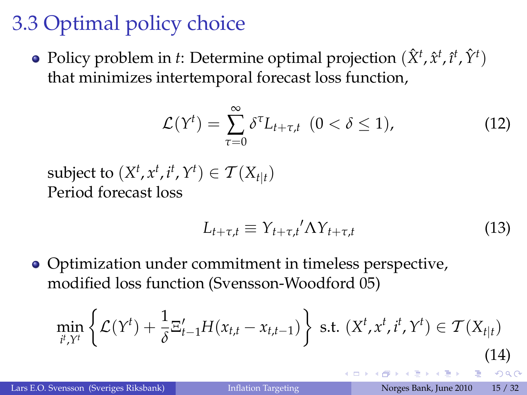# 3.3 Optimal policy choice

Policy problem in *t*: Determine optimal projection  $(\hat{X}^t, \hat{x}^t, \hat{t}^t, \hat{Y}^t)$ that minimizes intertemporal forecast loss function,

$$
\mathcal{L}(Y^t) = \sum_{\tau=0}^{\infty} \delta^{\tau} L_{t+\tau,t} \ (0 < \delta \le 1), \tag{12}
$$

subject to  $(X^t, x^t, i^t, Y^t) \in \mathcal{T}(X_{t|t})$ Period forecast loss

$$
L_{t+\tau,t} \equiv Y_{t+\tau,t}' \Lambda Y_{t+\tau,t} \tag{13}
$$

• Optimization under commitment in timeless perspective, modified loss function (Svensson-Woodford 05)

$$
\min_{i^t, Y^t} \left\{ \mathcal{L}(Y^t) + \frac{1}{\delta} \Xi_{t-1}^{\prime} H(x_{t,t} - x_{t,t-1}) \right\} \text{ s.t. } (X^t, x^t, i^t, Y^t) \in \mathcal{T}(X_{t|t})
$$
\n(14)

ぼう マミメー 語

 $QQ$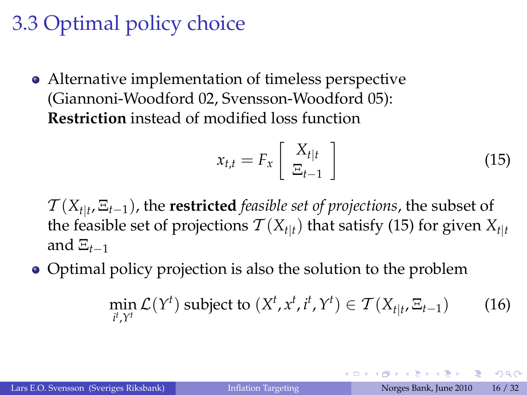# 3.3 Optimal policy choice

Alternative implementation of timeless perspective (Giannoni-Woodford 02, Svensson-Woodford 05): **Restriction** instead of modified loss function

<span id="page-15-0"></span>
$$
x_{t,t} = F_x \left[ \begin{array}{c} X_{t|t} \\ \Xi_{t-1} \end{array} \right] \tag{15}
$$

 $T(X_{t|t}, \Xi_{t-1})$ , the **restricted** *feasible set of projections*, the subset of the feasible set of projections  $\mathcal{T}(X_{t|t})$  that satisfy [\(15\)](#page-15-0) for given  $X_{t|t}$ and  $\Xi_{t-1}$ 

• Optimal policy projection is also the solution to the problem

$$
\min_{i^t, Y^t} \mathcal{L}(Y^t) \text{ subject to } (X^t, x^t, i^t, Y^t) \in \mathcal{T}(X_{t|t}, \Xi_{t-1}) \tag{16}
$$

 $QQQ$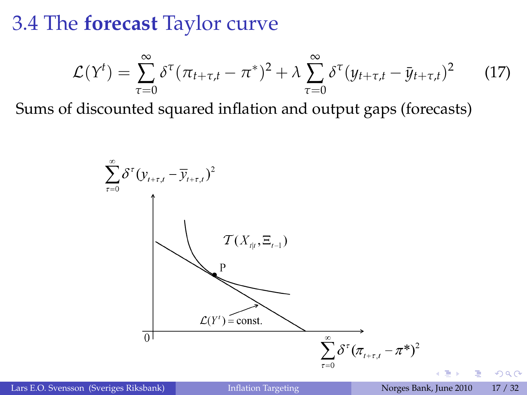3.4 The **forecast** Taylor curve

$$
\mathcal{L}(Y^t) = \sum_{\tau=0}^{\infty} \delta^{\tau} (\pi_{t+\tau,t} - \pi^*)^2 + \lambda \sum_{\tau=0}^{\infty} \delta^{\tau} (y_{t+\tau,t} - \bar{y}_{t+\tau,t})^2 \qquad (17)
$$

Sums of discounted squared inflation and output gaps (forecasts)



Lars E.O. Svensson (Sveriges Riksbank) [Inflation Targeting](#page-0-0) Norges Bank, June 2010 17 / 32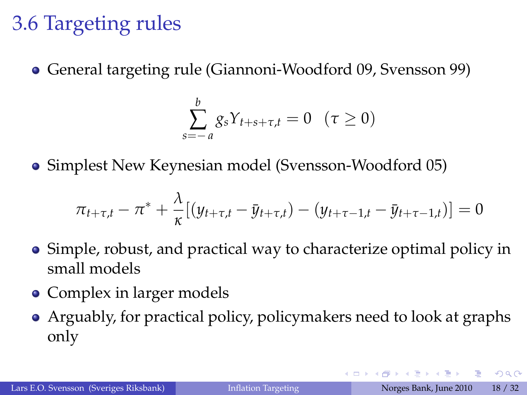### 3.6 Targeting rules

General targeting rule (Giannoni-Woodford 09, Svensson 99)

$$
\sum_{s=-a}^{b} g_s Y_{t+s+\tau,t} = 0 \quad (\tau \ge 0)
$$

Simplest New Keynesian model (Svensson-Woodford 05)

$$
\pi_{t+\tau,t} - \pi^* + \frac{\lambda}{\kappa} [(y_{t+\tau,t} - \bar{y}_{t+\tau,t}) - (y_{t+\tau-1,t} - \bar{y}_{t+\tau-1,t})] = 0
$$

- Simple, robust, and practical way to characterize optimal policy in small models
- Complex in larger models
- Arguably, for practical policy, policymakers need to look at graphs only

 $QQQ$ 

イロト イ御 トイヨ トイヨ トーヨ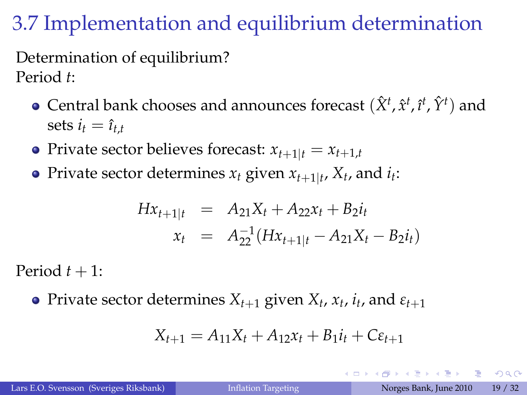# 3.7 Implementation and equilibrium determination

Determination of equilibrium? Period *t*:

- Central bank chooses and announces forecast  $(\hat{X}^t, \hat{x}^t, \hat{t}^t, \hat{Y}^t)$  and sets  $i_t = \hat{i}_{t,t}$
- Private sector believes forecast:  $x_{t+1|t} = x_{t+1,t}$
- Private sector determines  $x_t$  given  $x_{t+1|t}$ ,  $X_t$ , and  $i_t$ :

$$
Hx_{t+1|t} = A_{21}X_t + A_{22}x_t + B_2i_t
$$
  

$$
x_t = A_{22}^{-1}(Hx_{t+1|t} - A_{21}X_t - B_2i_t)
$$

Period  $t + 1$ :

Private sector determines  $X_{t+1}$  given  $X_t$ ,  $x_t$ ,  $i_t$ , and  $\varepsilon_{t+1}$ 

$$
X_{t+1} = A_{11}X_t + A_{12}x_t + B_1i_t + C\varepsilon_{t+1}
$$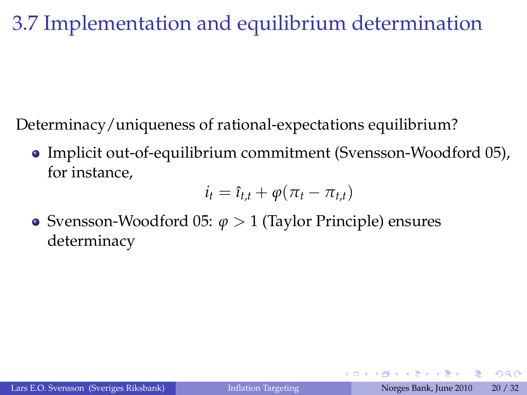## 3.7 Implementation and equilibrium determination

Determinacy/uniqueness of rational-expectations equilibrium?

Implicit out-of-equilibrium commitment (Svensson-Woodford 05), for instance,

$$
i_t = \hat{i}_{t,t} + \varphi(\pi_t - \pi_{t,t})
$$

Svensson-Woodford 05: *ϕ* > 1 (Taylor Principle) ensures determinacy

 $QQQ$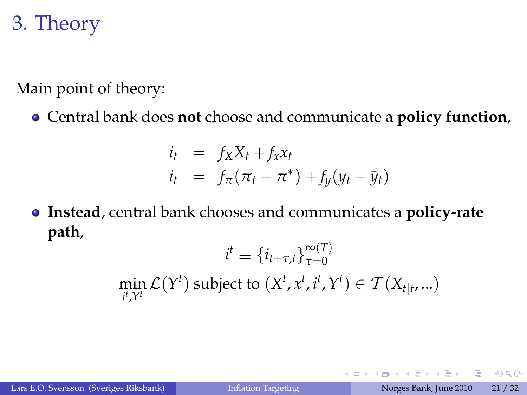# 3. Theory

Main point of theory:

Central bank does **not** choose and communicate a **policy function**,

$$
i_t = f_X X_t + f_X x_t
$$
  

$$
i_t = f_\pi(\pi_t - \pi^*) + f_y(y_t - \bar{y}_t)
$$

**Instead**, central bank chooses and communicates a **policy-rate path**,

$$
i^{t} \equiv \{i_{t+\tau,t}\}_{\tau=0}^{\infty(T)}
$$
  
min  $\mathcal{L}(Y^{t})$  subject to  $(X^{t}, x^{t}, i^{t}, Y^{t}) \in \mathcal{T}(X_{t|t},...)$ 

**∢ ロ ▶ ィ 何** 

G

 $QQ$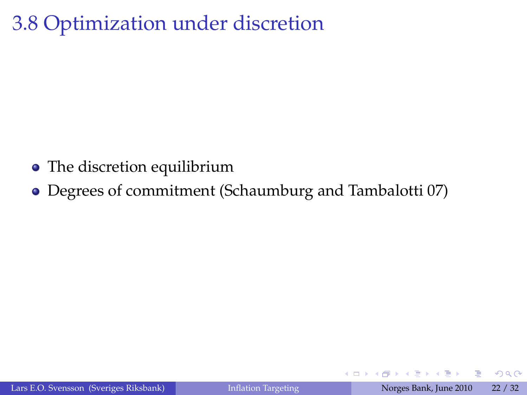## 3.8 Optimization under discretion

- The discretion equilibrium
- Degrees of commitment (Schaumburg and Tambalotti 07)

4 0 8

E

 $QQQ$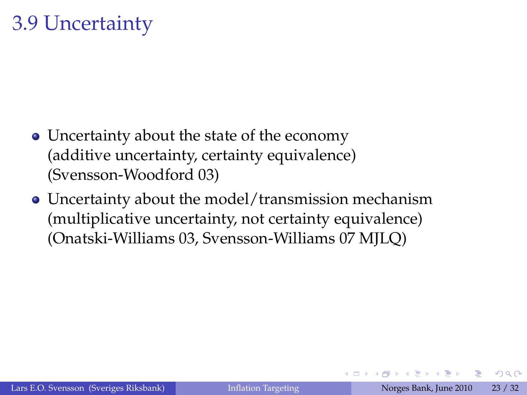### 3.9 Uncertainty

- Uncertainty about the state of the economy (additive uncertainty, certainty equivalence) (Svensson-Woodford 03)
- Uncertainty about the model/transmission mechanism (multiplicative uncertainty, not certainty equivalence) (Onatski-Williams 03, Svensson-Williams 07 MJLQ)

 $QQ$ 

不重 的不重的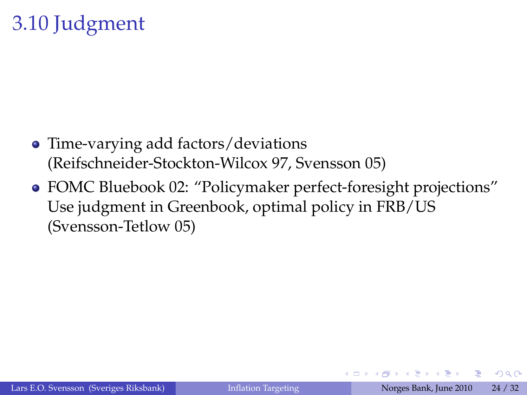## 3.10 Judgment

- Time-varying add factors/deviations (Reifschneider-Stockton-Wilcox 97, Svensson 05)
- FOMC Bluebook 02: "Policymaker perfect-foresight projections" Use judgment in Greenbook, optimal policy in FRB/US (Svensson-Tetlow 05)

G

 $QQQ$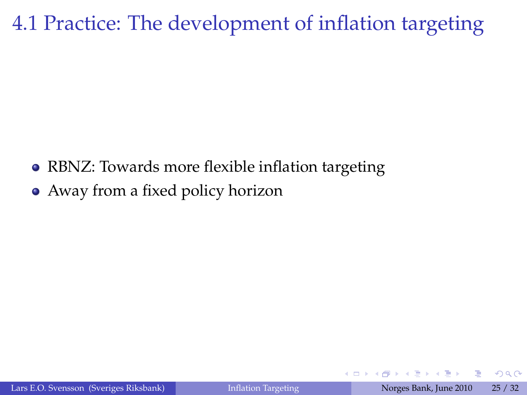### 4.1 Practice: The development of inflation targeting

RBNZ: Towards more flexible inflation targeting Away from a fixed policy horizon

4 0 8

 $2Q$ 

目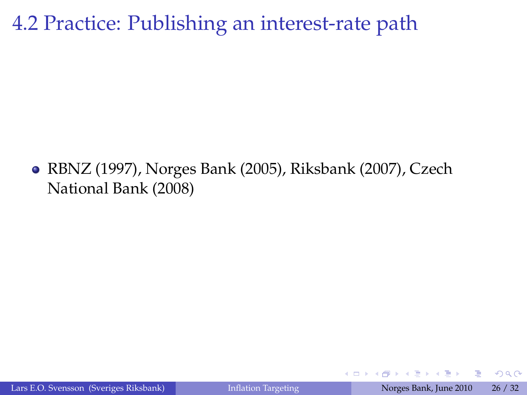#### 4.2 Practice: Publishing an interest-rate path

RBNZ (1997), Norges Bank (2005), Riksbank (2007), Czech National Bank (2008)

4 0 8

G

 $QQQ$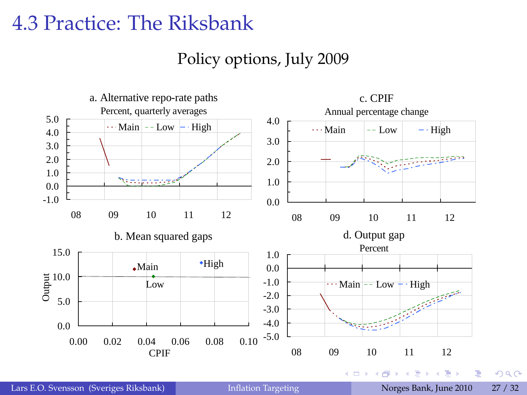Policy options, July 2009



Lars E.O. Svensson (Sveriges Riksbank) [Inflation Targeting](#page-0-0) Norges Bank, June 2010 27 / 32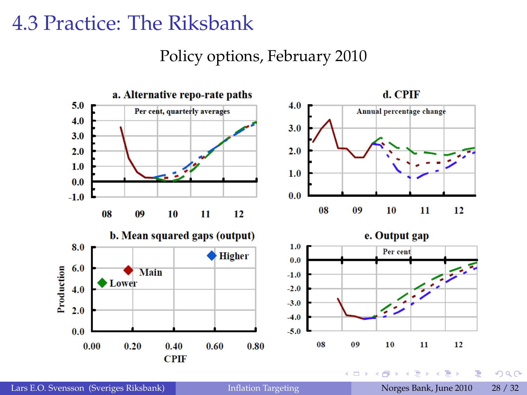#### Policy options, February 2010



Lars E.O. Svensson (Sveriges Riksbank) [Inflation Targeting](#page-0-0) Norges Bank, June 2010 28 / 32

 $299$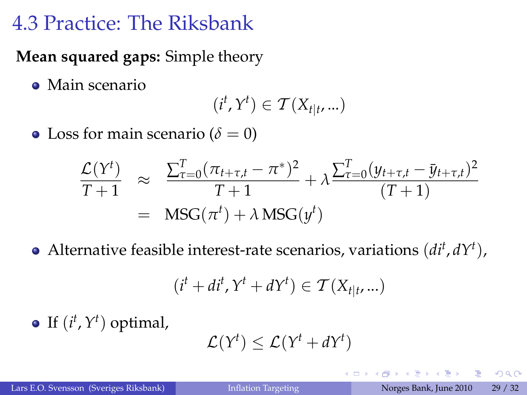#### **Mean squared gaps:** Simple theory

Main scenario

$$
(i^t, Y^t) \in \mathcal{T}(X_{t|t}, ...)
$$

• Loss for main scenario ( $\delta = 0$ )

$$
\frac{\mathcal{L}(Y^t)}{T+1} \approx \frac{\sum_{\tau=0}^{T} (\pi_{t+\tau,t} - \pi^*)^2}{T+1} + \lambda \frac{\sum_{\tau=0}^{T} (y_{t+\tau,t} - \bar{y}_{t+\tau,t})^2}{(T+1)}
$$
  
= 
$$
\text{MSC}(\pi^t) + \lambda \text{MSC}(y^t)
$$

Alternative feasible interest-rate scenarios, variations (*di<sup>t</sup>* , *dY<sup>t</sup>* ),

$$
(it + dit, Yt + dYt) \in T(Xt|t, ...)
$$

If  $(i^t, Y^t)$  optimal,

$$
\mathcal{L}(Y^t) \leq \mathcal{L}(Y^t + dY^t)
$$

一番

 $QQ$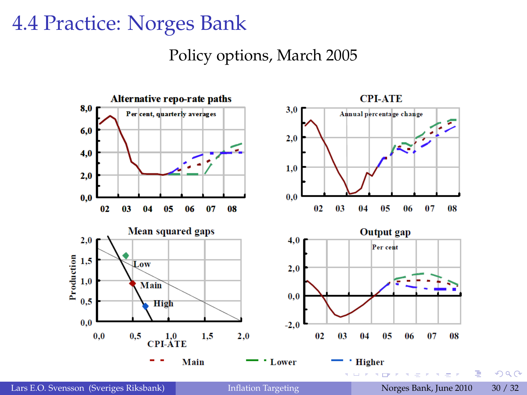#### 4.4 Practice: Norges Bank

#### Policy options, March 2005

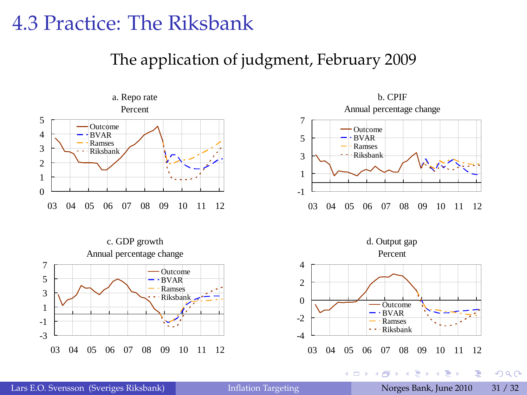The application of judgment, February 2009



03 04 05 06 07 08 09 10 11 12





イロト イ押ト イヨト イヨト

-3

E

 $2Q$